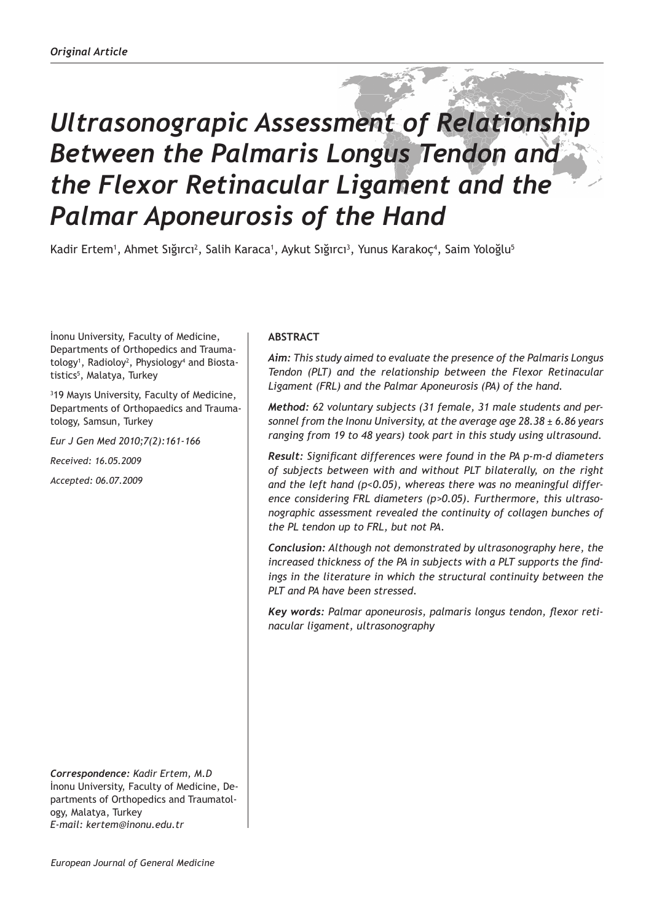# *Ultrasonograpic Assessment of Relationship Between the Palmaris Longus Tendon and the Flexor Retinacular Ligament and the Palmar Aponeurosis of the Hand*

Kadir Ertem', Ahmet Sığırcı<sup>2</sup>, Salih Karaca', Aykut Sığırcı<sup>3</sup>, Yunus Karakoç<sup>4</sup>, Saim Yoloğlu<sup>5</sup>

İnonu University, Faculty of Medicine, Departments of Orthopedics and Traumatology<sup>1</sup>, Radioloy<sup>2</sup>, Physiology<sup>4</sup> and Biostatistics<sup>5</sup>, Malatya, Turkey

3 19 Mayıs University, Faculty of Medicine, Departments of Orthopaedics and Traumatology, Samsun, Turkey

*Eur J Gen Med 2010;7(2):161-166*

*Received: 16.05.2009*

*Accepted: 06.07.2009*

*Correspondence: Kadir Ertem, M.D* İnonu University, Faculty of Medicine, Departments of Orthopedics and Traumatology, Malatya, Turkey *E-mail: kertem@inonu.edu.tr*

## **ABSTRACT**

*Aim: This study aimed to evaluate the presence of the Palmaris Longus Tendon (PLT) and the relationship between the Flexor Retinacular Ligament (FRL) and the Palmar Aponeurosis (PA) of the hand.* 

*Method: 62 voluntary subjects (31 female, 31 male students and personnel from the Inonu University, at the average age 28.38 ± 6.86 years ranging from 19 to 48 years) took part in this study using ultrasound.* 

*Result: Significant differences were found in the PA p-m-d diameters of subjects between with and without PLT bilaterally, on the right and the left hand (p<0.05), whereas there was no meaningful difference considering FRL diameters (p>0.05). Furthermore, this ultrasonographic assessment revealed the continuity of collagen bunches of the PL tendon up to FRL, but not PA.* 

*Conclusion: Although not demonstrated by ultrasonography here, the increased thickness of the PA in subjects with a PLT supports the findings in the literature in which the structural continuity between the PLT and PA have been stressed.* 

*Key words: Palmar aponeurosis, palmaris longus tendon, flexor retinacular ligament, ultrasonography*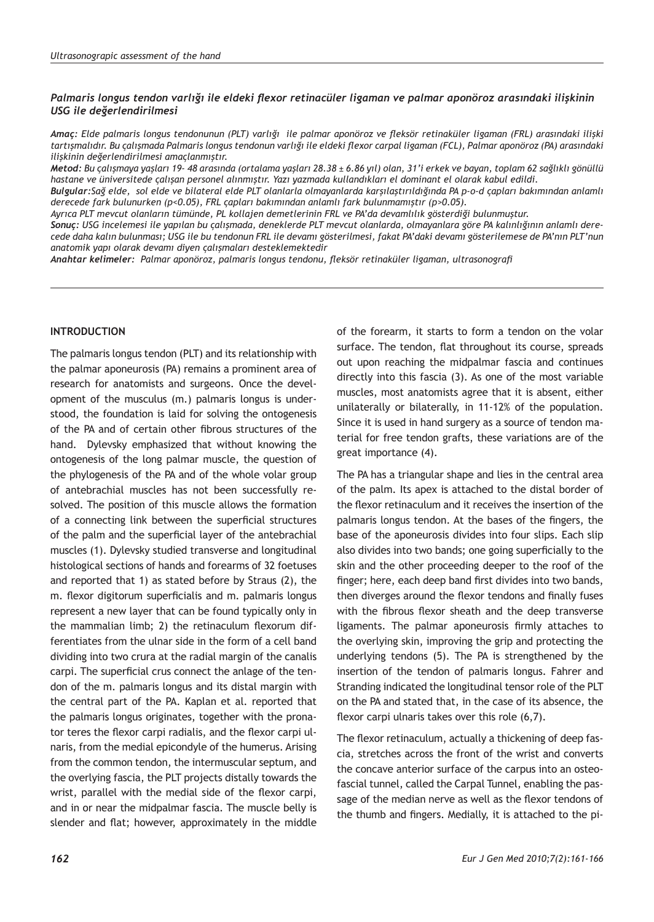### *Palmaris longus tendon varlığı ile eldeki flexor retinacüler ligaman ve palmar aponöroz arasındaki ilişkinin USG ile değerlendirilmesi*

*Amaç: Elde palmaris longus tendonunun (PLT) varlığı ile palmar aponöroz ve fleksör retinaküler ligaman (FRL) arasındaki ilişki tartışmalıdır. Bu çalışmada Palmaris longus tendonun varlığı ile eldeki flexor carpal ligaman (FCL), Palmar aponöroz (PA) arasındaki ilişkinin değerlendirilmesi amaçlanmıştır.*

*Metod: Bu çalışmaya yaşları 19- 48 arasında (ortalama yaşları 28.38 ± 6.86 yıl) olan, 31'i erkek ve bayan, toplam 62 sağlıklı gönüllü hastane ve üniversitede çalışan personel alınmıştır. Yazı yazmada kullandıkları el dominant el olarak kabul edildi.* 

*Bulgular:Sağ elde, sol elde ve bilateral elde PLT olanlarla olmayanlarda karşılaştırıldığında PA p-o-d çapları bakımından anlamlı derecede fark bulunurken (p<0.05), FRL çapları bakımından anlamlı fark bulunmamıştır (p>0.05).* 

*Ayrıca PLT mevcut olanların tümünde, PL kollajen demetlerinin FRL ve PA'da devamlılık gösterdiği bulunmuştur.* 

*Sonuç: USG incelemesi ile yapılan bu çalışmada, deneklerde PLT mevcut olanlarda, olmayanlara göre PA kalınlığının anlamlı derecede daha kalın bulunması; USG ile bu tendonun FRL ile devamı gösterilmesi, fakat PA'daki devamı gösterilemese de PA'nın PLT'nun anatomik yapı olarak devamı diyen çalışmaları desteklemektedir* 

*Anahtar kelimeler: Palmar aponöroz, palmaris longus tendonu, fleksör retinaküler ligaman, ultrasonografi*

#### **INTRODUCTION**

The palmaris longus tendon (PLT) and its relationship with the palmar aponeurosis (PA) remains a prominent area of research for anatomists and surgeons. Once the development of the musculus (m.) palmaris longus is understood, the foundation is laid for solving the ontogenesis of the PA and of certain other fibrous structures of the hand. Dylevsky emphasized that without knowing the ontogenesis of the long palmar muscle, the question of the phylogenesis of the PA and of the whole volar group of antebrachial muscles has not been successfully resolved. The position of this muscle allows the formation of a connecting link between the superficial structures of the palm and the superficial layer of the antebrachial muscles (1). Dylevsky studied transverse and longitudinal histological sections of hands and forearms of 32 foetuses and reported that 1) as stated before by Straus (2), the m. flexor digitorum superficialis and m. palmaris longus represent a new layer that can be found typically only in the mammalian limb; 2) the retinaculum flexorum differentiates from the ulnar side in the form of a cell band dividing into two crura at the radial margin of the canalis carpi. The superficial crus connect the anlage of the tendon of the m. palmaris longus and its distal margin with the central part of the PA. Kaplan et al. reported that the palmaris longus originates, together with the pronator teres the flexor carpi radialis, and the flexor carpi ulnaris, from the medial epicondyle of the humerus. Arising from the common tendon, the intermuscular septum, and the overlying fascia, the PLT projects distally towards the wrist, parallel with the medial side of the flexor carpi, and in or near the midpalmar fascia. The muscle belly is slender and flat; however, approximately in the middle

of the forearm, it starts to form a tendon on the volar surface. The tendon, flat throughout its course, spreads out upon reaching the midpalmar fascia and continues directly into this fascia (3). As one of the most variable muscles, most anatomists agree that it is absent, either unilaterally or bilaterally, in 11-12% of the population. Since it is used in hand surgery as a source of tendon material for free tendon grafts, these variations are of the great importance (4).

The PA has a triangular shape and lies in the central area of the palm. Its apex is attached to the distal border of the flexor retinaculum and it receives the insertion of the palmaris longus tendon. At the bases of the fingers, the base of the aponeurosis divides into four slips. Each slip also divides into two bands; one going superficially to the skin and the other proceeding deeper to the roof of the finger; here, each deep band first divides into two bands, then diverges around the flexor tendons and finally fuses with the fibrous flexor sheath and the deep transverse ligaments. The palmar aponeurosis firmly attaches to the overlying skin, improving the grip and protecting the underlying tendons (5). The PA is strengthened by the insertion of the tendon of palmaris longus. Fahrer and Stranding indicated the longitudinal tensor role of the PLT on the PA and stated that, in the case of its absence, the flexor carpi ulnaris takes over this role (6,7).

The flexor retinaculum, actually a thickening of deep fascia, stretches across the front of the wrist and converts the concave anterior surface of the carpus into an osteofascial tunnel, called the Carpal Tunnel, enabling the passage of the median nerve as well as the flexor tendons of the thumb and fingers. Medially, it is attached to the pi-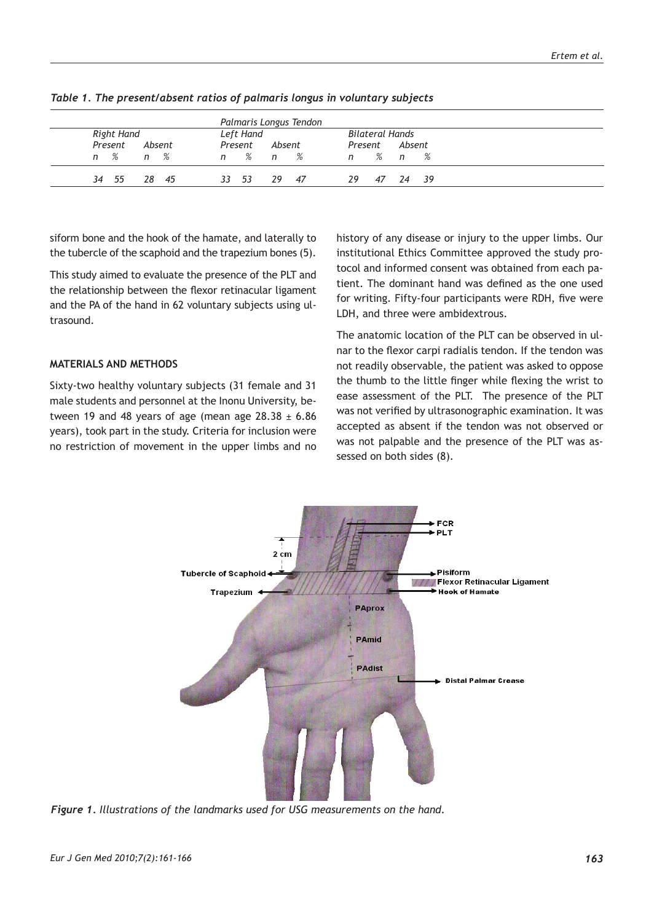|            |            | Palmaris Longus Tendon      |        |                        |                   |
|------------|------------|-----------------------------|--------|------------------------|-------------------|
| Right Hand |            | Left Hand                   |        | <b>Bilateral Hands</b> |                   |
| Present    | Absent     | Present                     | Absent | Present                | Absent            |
| n %        | n %        | $\%$<br>$\overline{p}$<br>n | $\%$   | %<br>n                 | %<br>$\mathsf{n}$ |
| 34<br>-55  | 45<br>- 28 | 29<br>33 53                 | 47     | 29 47                  | - 39<br>24        |

*Table 1. The present/absent ratios of palmaris longus in voluntary subjects*

siform bone and the hook of the hamate, and laterally to the tubercle of the scaphoid and the trapezium bones (5).

This study aimed to evaluate the presence of the PLT and the relationship between the flexor retinacular ligament and the PA of the hand in 62 voluntary subjects using ultrasound.

# **MATERIALS AND METHODS**

Sixty-two healthy voluntary subjects (31 female and 31 male students and personnel at the Inonu University, between 19 and 48 years of age (mean age  $28.38 \pm 6.86$ years), took part in the study. Criteria for inclusion were no restriction of movement in the upper limbs and no history of any disease or injury to the upper limbs. Our institutional Ethics Committee approved the study protocol and informed consent was obtained from each patient. The dominant hand was defined as the one used for writing. Fifty-four participants were RDH, five were LDH, and three were ambidextrous.

The anatomic location of the PLT can be observed in ulnar to the flexor carpi radialis tendon. If the tendon was not readily observable, the patient was asked to oppose the thumb to the little finger while flexing the wrist to ease assessment of the PLT. The presence of the PLT was not verified by ultrasonographic examination. It was accepted as absent if the tendon was not observed or was not palpable and the presence of the PLT was assessed on both sides (8).



*Figure 1. Illustrations of the landmarks used for USG measurements on the hand.*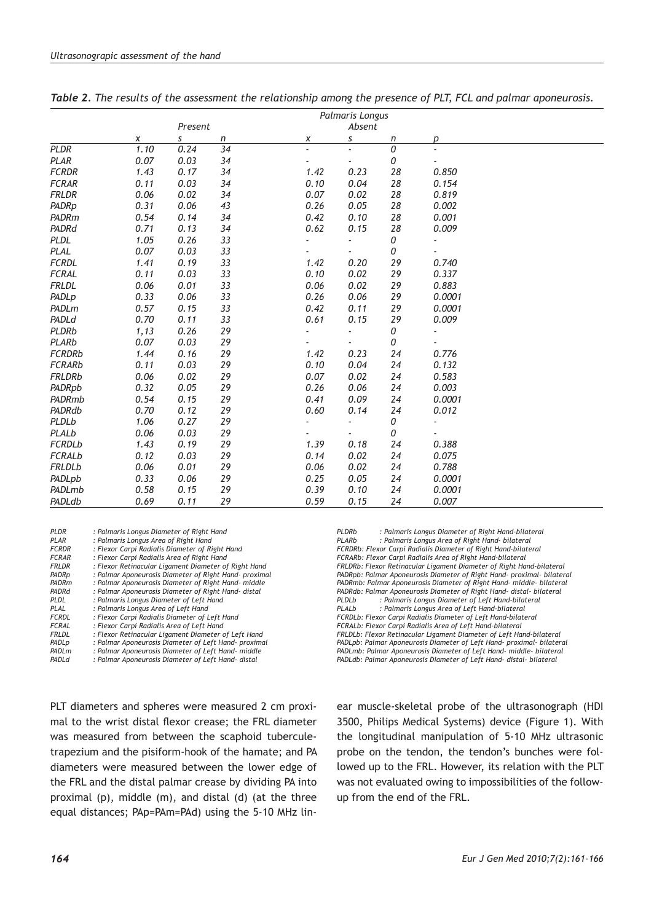|                   | Palmaris Longus |         |    |      |        |          |        |  |  |
|-------------------|-----------------|---------|----|------|--------|----------|--------|--|--|
|                   |                 | Present |    |      | Absent |          |        |  |  |
|                   | x               | S       | n  | x    | s      | n        | р      |  |  |
| <b>PLDR</b>       | 1.10            | 0.24    | 34 |      | ä,     | $\cal O$ | ä,     |  |  |
| <b>PLAR</b>       | 0.07            | 0.03    | 34 |      |        | 0        |        |  |  |
| <b>FCRDR</b>      | 1.43            | 0.17    | 34 | 1.42 | 0.23   | 28       | 0.850  |  |  |
| <b>FCRAR</b>      | 0.11            | 0.03    | 34 | 0.10 | 0.04   | 28       | 0.154  |  |  |
| <b>FRLDR</b>      | 0.06            | 0.02    | 34 | 0.07 | 0.02   | 28       | 0.819  |  |  |
| PADRp             | 0.31            | 0.06    | 43 | 0.26 | 0.05   | 28       | 0.002  |  |  |
| PADRm             | 0.54            | 0.14    | 34 | 0.42 | 0.10   | 28       | 0.001  |  |  |
| PADRd             | 0.71            | 0.13    | 34 | 0.62 | 0.15   | 28       | 0.009  |  |  |
| <b>PLDL</b>       | 1.05            | 0.26    | 33 |      |        | 0        |        |  |  |
| PLAL              | 0.07            | 0.03    | 33 |      |        | 0        |        |  |  |
| <b>FCRDL</b>      | 1.41            | 0.19    | 33 | 1.42 | 0.20   | 29       | 0.740  |  |  |
| <b>FCRAL</b>      | 0.11            | 0.03    | 33 | 0.10 | 0.02   | 29       | 0.337  |  |  |
| <b>FRLDL</b>      | 0.06            | 0.01    | 33 | 0.06 | 0.02   | 29       | 0.883  |  |  |
| PADL <sub>p</sub> | 0.33            | 0.06    | 33 | 0.26 | 0.06   | 29       | 0.0001 |  |  |
| PADLm             | 0.57            | 0.15    | 33 | 0.42 | 0.11   | 29       | 0.0001 |  |  |
| PADLd             | 0.70            | 0.11    | 33 | 0.61 | 0.15   | 29       | 0.009  |  |  |
| <b>PLDRb</b>      | 1,13            | 0.26    | 29 |      |        | 0        |        |  |  |
| PLARb             | 0.07            | 0.03    | 29 |      |        | 0        |        |  |  |
| <b>FCRDRb</b>     | 1.44            | 0.16    | 29 | 1.42 | 0.23   | 24       | 0.776  |  |  |
| <b>FCRARb</b>     | 0.11            | 0.03    | 29 | 0.10 | 0.04   | 24       | 0.132  |  |  |
| <b>FRLDRb</b>     | 0.06            | 0.02    | 29 | 0.07 | 0.02   | 24       | 0.583  |  |  |
| PADRpb            | 0.32            | 0.05    | 29 | 0.26 | 0.06   | 24       | 0.003  |  |  |
| PADRmb            | 0.54            | 0.15    | 29 | 0.41 | 0.09   | 24       | 0.0001 |  |  |
| PADRdb            | 0.70            | 0.12    | 29 | 0.60 | 0.14   | 24       | 0.012  |  |  |
| PLDLb             | 1.06            | 0.27    | 29 |      |        | 0        |        |  |  |
| PLALb             | 0.06            | 0.03    | 29 |      |        | 0        |        |  |  |
| <b>FCRDLb</b>     | 1.43            | 0.19    | 29 | 1.39 | 0.18   | 24       | 0.388  |  |  |
| <b>FCRALb</b>     | 0.12            | 0.03    | 29 | 0.14 | 0.02   | 24       | 0.075  |  |  |
| <b>FRLDLb</b>     | 0.06            | 0.01    | 29 | 0.06 | 0.02   | 24       | 0.788  |  |  |
| PADLpb            | 0.33            | 0.06    | 29 | 0.25 | 0.05   | 24       | 0.0001 |  |  |
| PADLmb            | 0.58            | 0.15    | 29 | 0.39 | 0.10   | 24       | 0.0001 |  |  |
| PADLdb            | 0.69            | 0.11    | 29 | 0.59 | 0.15   | 24       | 0.007  |  |  |

| <b>PLDR</b>       | : Palmaris Longus Diameter of Right Hand              |
|-------------------|-------------------------------------------------------|
| <b>PLAR</b>       | : Palmaris Longus Area of Right Hand                  |
| <b>FCRDR</b>      | : Flexor Carpi Radialis Diameter of Right Hand        |
| <b>FCRAR</b>      | : Flexor Carpi Radialis Area of Right Hand            |
| <b>FRLDR</b>      | : Flexor Retinacular Ligament Diameter of Right Hand  |
| PADRp             | : Palmar Aponeurosis Diameter of Right Hand- proximal |
| PADRm             | : Palmar Aponeurosis Diameter of Right Hand- middle   |
| PADRd             | : Palmar Aponeurosis Diameter of Right Hand- distal   |
| PLDL              | : Palmaris Longus Diameter of Left Hand               |
| PLAL              | : Palmaris Longus Area of Left Hand                   |
| <b>FCRDL</b>      | : Flexor Carpi Radialis Diameter of Left Hand         |
| <b>FCRAL</b>      | : Flexor Carpi Radialis Area of Left Hand             |
| <b>FRLDL</b>      | : Flexor Retinacular Ligament Diameter of Left Hand   |
| PADL <sub>D</sub> | : Palmar Aponeurosis Diameter of Left Hand- proximal  |
| PADLm             | : Palmar Aponeurosis Diameter of Left Hand- middle    |
| PADLd             | : Palmar Aponeurosis Diameter of Left Hand- distal    |

PLT diameters and spheres were measured 2 cm proximal to the wrist distal flexor crease; the FRL diameter was measured from between the scaphoid tuberculetrapezium and the pisiform-hook of the hamate; and PA diameters were measured between the lower edge of the FRL and the distal palmar crease by dividing PA into proximal (p), middle (m), and distal (d) (at the three equal distances; PAp=PAm=PAd) using the 5-10 MHz lin*PLDRb : Palmaris Longus Diameter of Right Hand-bilateral PLARb : Palmaris Longus Area of Right Hand- bilateral FCRDRb: Flexor Carpi Radialis Diameter of Right Hand-bilateral FCRARb: Flexor Carpi Radialis Area of Right Hand-bilateral FRLDRb: Flexor Retinacular Ligament Diameter of Right Hand-bilateral PADRpb: Palmar Aponeurosis Diameter of Right Hand- proximal- bilateral PADRmb: Palmar Aponeurosis Diameter of Right Hand- middle- bilateral PADRdb: Palmar Aponeurosis Diameter of Right Hand- distal- bilateral PLDLb : Palmaris Longus Diameter of Left Hand-bilateral PLALb : Palmaris Longus Area of Left Hand-bilateral FCRDLb: Flexor Carpi Radialis Diameter of Left Hand-bilateral FCRALb: Flexor Carpi Radialis Area of Left Hand-bilateral FRLDLb: Flexor Retinacular Ligament Diameter of Left Hand-bilateral PADLpb: Palmar Aponeurosis Diameter of Left Hand- proximal- bilateral PADLmb: Palmar Aponeurosis Diameter of Left Hand- middle- bilateral PADLdb: Palmar Aponeurosis Diameter of Left Hand- distal- bilateral*

ear muscle-skeletal probe of the ultrasonograph (HDI 3500, Philips Medical Systems) device (Figure 1). With the longitudinal manipulation of 5-10 MHz ultrasonic probe on the tendon, the tendon's bunches were followed up to the FRL. However, its relation with the PLT was not evaluated owing to impossibilities of the followup from the end of the FRL.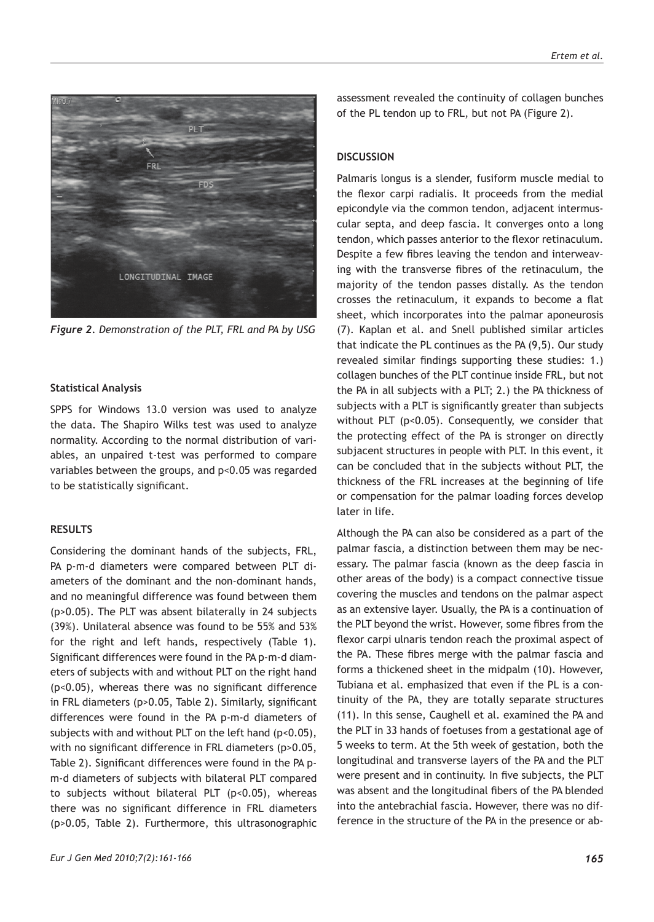

*Figure 2. Demonstration of the PLT, FRL and PA by USG*

## **Statistical Analysis**

SPPS for Windows 13.0 version was used to analyze the data. The Shapiro Wilks test was used to analyze normality. According to the normal distribution of variables, an unpaired t-test was performed to compare variables between the groups, and p<0.05 was regarded to be statistically significant.

## **RESULTS**

Considering the dominant hands of the subjects, FRL, PA p-m-d diameters were compared between PLT diameters of the dominant and the non-dominant hands, and no meaningful difference was found between them (p>0.05). The PLT was absent bilaterally in 24 subjects (39%). Unilateral absence was found to be 55% and 53% for the right and left hands, respectively (Table 1). Significant differences were found in the PA p-m-d diameters of subjects with and without PLT on the right hand (p<0.05), whereas there was no significant difference in FRL diameters (p>0.05, Table 2). Similarly, significant differences were found in the PA p-m-d diameters of subjects with and without PLT on the left hand (p<0.05), with no significant difference in FRL diameters (p>0.05, Table 2). Significant differences were found in the PA pm-d diameters of subjects with bilateral PLT compared to subjects without bilateral PLT (p<0.05), whereas there was no significant difference in FRL diameters (p>0.05, Table 2). Furthermore, this ultrasonographic assessment revealed the continuity of collagen bunches of the PL tendon up to FRL, but not PA (Figure 2).

## **DISCUSSION**

Palmaris longus is a slender, fusiform muscle medial to the flexor carpi radialis. It proceeds from the medial epicondyle via the common tendon, adjacent intermuscular septa, and deep fascia. It converges onto a long tendon, which passes anterior to the flexor retinaculum. Despite a few fibres leaving the tendon and interweaving with the transverse fibres of the retinaculum, the majority of the tendon passes distally. As the tendon crosses the retinaculum, it expands to become a flat sheet, which incorporates into the palmar aponeurosis (7). Kaplan et al. and Snell published similar articles that indicate the PL continues as the PA (9,5). Our study revealed similar findings supporting these studies: 1.) collagen bunches of the PLT continue inside FRL, but not the PA in all subjects with a PLT; 2.) the PA thickness of subjects with a PLT is significantly greater than subjects without PLT (p<0.05). Consequently, we consider that the protecting effect of the PA is stronger on directly subjacent structures in people with PLT. In this event, it can be concluded that in the subjects without PLT, the thickness of the FRL increases at the beginning of life or compensation for the palmar loading forces develop later in life.

Although the PA can also be considered as a part of the palmar fascia, a distinction between them may be necessary. The palmar fascia (known as the deep fascia in other areas of the body) is a compact connective tissue covering the muscles and tendons on the palmar aspect as an extensive layer. Usually, the PA is a continuation of the PLT beyond the wrist. However, some fibres from the flexor carpi ulnaris tendon reach the proximal aspect of the PA. These fibres merge with the palmar fascia and forms a thickened sheet in the midpalm (10). However, Tubiana et al. emphasized that even if the PL is a continuity of the PA, they are totally separate structures (11). In this sense, Caughell et al. examined the PA and the PLT in 33 hands of foetuses from a gestational age of 5 weeks to term. At the 5th week of gestation, both the longitudinal and transverse layers of the PA and the PLT were present and in continuity. In five subjects, the PLT was absent and the longitudinal fibers of the PA blended into the antebrachial fascia. However, there was no difference in the structure of the PA in the presence or ab